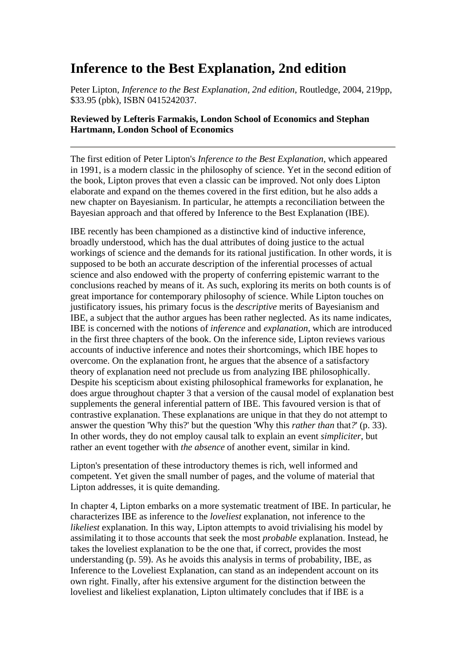## **Inference to the Best Explanation, 2nd edition**

Peter Lipton, *Inference to the Best Explanation, 2nd edition*, Routledge, 2004, 219pp, \$33.95 (pbk), ISBN 0415242037.

## **Reviewed by Lefteris Farmakis, London School of Economics and Stephan Hartmann, London School of Economics**

The first edition of Peter Lipton's *Inference to the Best Explanation*, which appeared in 1991, is a modern classic in the philosophy of science. Yet in the second edition of the book, Lipton proves that even a classic can be improved. Not only does Lipton elaborate and expand on the themes covered in the first edition, but he also adds a new chapter on Bayesianism. In particular, he attempts a reconciliation between the Bayesian approach and that offered by Inference to the Best Explanation (IBE).

IBE recently has been championed as a distinctive kind of inductive inference, broadly understood, which has the dual attributes of doing justice to the actual workings of science and the demands for its rational justification. In other words, it is supposed to be both an accurate description of the inferential processes of actual science and also endowed with the property of conferring epistemic warrant to the conclusions reached by means of it. As such, exploring its merits on both counts is of great importance for contemporary philosophy of science. While Lipton touches on justificatory issues, his primary focus is the *descriptive* merits of Bayesianism and IBE, a subject that the author argues has been rather neglected. As its name indicates, IBE is concerned with the notions of *inference* and *explanation*, which are introduced in the first three chapters of the book. On the inference side, Lipton reviews various accounts of inductive inference and notes their shortcomings, which IBE hopes to overcome. On the explanation front, he argues that the absence of a satisfactory theory of explanation need not preclude us from analyzing IBE philosophically. Despite his scepticism about existing philosophical frameworks for explanation, he does argue throughout chapter 3 that a version of the causal model of explanation best supplements the general inferential pattern of IBE. This favoured version is that of contrastive explanation. These explanations are unique in that they do not attempt to answer the question 'Why this?' but the question 'Why this *rather than* that*?*' (p. 33). In other words, they do not employ causal talk to explain an event *simpliciter*, but rather an event together with *the absence* of another event, similar in kind.

Lipton's presentation of these introductory themes is rich, well informed and competent. Yet given the small number of pages, and the volume of material that Lipton addresses, it is quite demanding.

In chapter 4, Lipton embarks on a more systematic treatment of IBE. In particular, he characterizes IBE as inference to the *loveliest* explanation, not inference to the *likeliest* explanation. In this way, Lipton attempts to avoid trivialising his model by assimilating it to those accounts that seek the most *probable* explanation. Instead, he takes the loveliest explanation to be the one that, if correct, provides the most understanding (p. 59). As he avoids this analysis in terms of probability, IBE, as Inference to the Loveliest Explanation, can stand as an independent account on its own right. Finally, after his extensive argument for the distinction between the loveliest and likeliest explanation, Lipton ultimately concludes that if IBE is a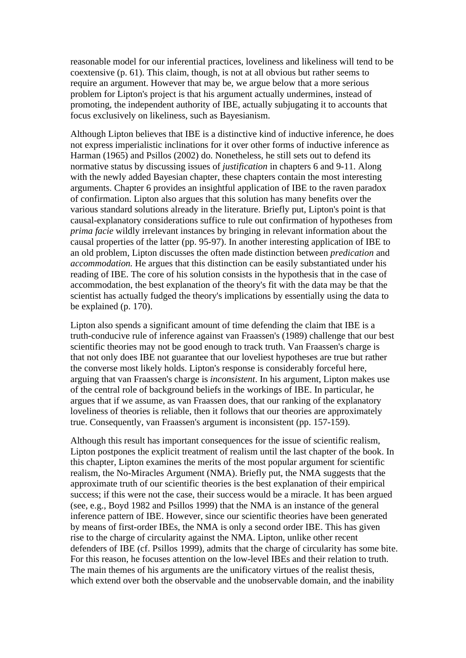reasonable model for our inferential practices, loveliness and likeliness will tend to be coextensive (p. 61). This claim, though, is not at all obvious but rather seems to require an argument. However that may be, we argue below that a more serious problem for Lipton's project is that his argument actually undermines, instead of promoting, the independent authority of IBE, actually subjugating it to accounts that focus exclusively on likeliness, such as Bayesianism.

Although Lipton believes that IBE is a distinctive kind of inductive inference, he does not express imperialistic inclinations for it over other forms of inductive inference as Harman (1965) and Psillos (2002) do. Nonetheless, he still sets out to defend its normative status by discussing issues of *justification* in chapters 6 and 9-11. Along with the newly added Bayesian chapter, these chapters contain the most interesting arguments. Chapter 6 provides an insightful application of IBE to the raven paradox of confirmation. Lipton also argues that this solution has many benefits over the various standard solutions already in the literature. Briefly put, Lipton's point is that causal-explanatory considerations suffice to rule out confirmation of hypotheses from *prima facie* wildly irrelevant instances by bringing in relevant information about the causal properties of the latter (pp. 95-97). In another interesting application of IBE to an old problem, Lipton discusses the often made distinction between *predication* and *accommodation.* He argues that this distinction can be easily substantiated under his reading of IBE. The core of his solution consists in the hypothesis that in the case of accommodation, the best explanation of the theory's fit with the data may be that the scientist has actually fudged the theory's implications by essentially using the data to be explained (p. 170).

Lipton also spends a significant amount of time defending the claim that IBE is a truth-conducive rule of inference against van Fraassen's (1989) challenge that our best scientific theories may not be good enough to track truth. Van Fraassen's charge is that not only does IBE not guarantee that our loveliest hypotheses are true but rather the converse most likely holds. Lipton's response is considerably forceful here, arguing that van Fraassen's charge is *inconsistent*. In his argument, Lipton makes use of the central role of background beliefs in the workings of IBE. In particular, he argues that if we assume, as van Fraassen does, that our ranking of the explanatory loveliness of theories is reliable, then it follows that our theories are approximately true. Consequently, van Fraassen's argument is inconsistent (pp. 157-159).

Although this result has important consequences for the issue of scientific realism, Lipton postpones the explicit treatment of realism until the last chapter of the book. In this chapter, Lipton examines the merits of the most popular argument for scientific realism, the No-Miracles Argument (NMA). Briefly put, the NMA suggests that the approximate truth of our scientific theories is the best explanation of their empirical success; if this were not the case, their success would be a miracle. It has been argued (see, e.g., Boyd 1982 and Psillos 1999) that the NMA is an instance of the general inference pattern of IBE. However, since our scientific theories have been generated by means of first-order IBEs, the NMA is only a second order IBE. This has given rise to the charge of circularity against the NMA. Lipton, unlike other recent defenders of IBE (cf. Psillos 1999), admits that the charge of circularity has some bite. For this reason, he focuses attention on the low-level IBEs and their relation to truth. The main themes of his arguments are the unificatory virtues of the realist thesis, which extend over both the observable and the unobservable domain, and the inability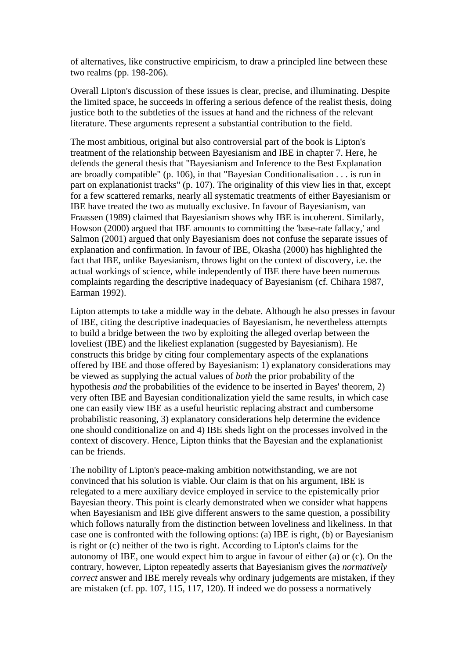of alternatives, like constructive empiricism, to draw a principled line between these two realms (pp. 198-206).

Overall Lipton's discussion of these issues is clear, precise, and illuminating. Despite the limited space, he succeeds in offering a serious defence of the realist thesis, doing justice both to the subtleties of the issues at hand and the richness of the relevant literature. These arguments represent a substantial contribution to the field.

The most ambitious, original but also controversial part of the book is Lipton's treatment of the relationship between Bayesianism and IBE in chapter 7. Here, he defends the general thesis that "Bayesianism and Inference to the Best Explanation are broadly compatible" (p. 106), in that "Bayesian Conditionalisation . . . is run in part on explanationist tracks" (p. 107). The originality of this view lies in that, except for a few scattered remarks, nearly all systematic treatments of either Bayesianism or IBE have treated the two as mutually exclusive. In favour of Bayesianism, van Fraassen (1989) claimed that Bayesianism shows why IBE is incoherent. Similarly, Howson (2000) argued that IBE amounts to committing the 'base-rate fallacy,' and Salmon (2001) argued that only Bayesianism does not confuse the separate issues of explanation and confirmation. In favour of IBE, Okasha (2000) has highlighted the fact that IBE, unlike Bayesianism, throws light on the context of discovery, i.e. the actual workings of science, while independently of IBE there have been numerous complaints regarding the descriptive inadequacy of Bayesianism (cf. Chihara 1987, Earman 1992).

Lipton attempts to take a middle way in the debate. Although he also presses in favour of IBE, citing the descriptive inadequacies of Bayesianism, he nevertheless attempts to build a bridge between the two by exploiting the alleged overlap between the loveliest (IBE) and the likeliest explanation (suggested by Bayesianism). He constructs this bridge by citing four complementary aspects of the explanations offered by IBE and those offered by Bayesianism: 1) explanatory considerations may be viewed as supplying the actual values of *both* the prior probability of the hypothesis *and* the probabilities of the evidence to be inserted in Bayes' theorem, 2) very often IBE and Bayesian conditionalization yield the same results, in which case one can easily view IBE as a useful heuristic replacing abstract and cumbersome probabilistic reasoning, 3) explanatory considerations help determine the evidence one should conditionalize on and 4) IBE sheds light on the processes involved in the context of discovery. Hence, Lipton thinks that the Bayesian and the explanationist can be friends.

The nobility of Lipton's peace-making ambition notwithstanding, we are not convinced that his solution is viable. Our claim is that on his argument, IBE is relegated to a mere auxiliary device employed in service to the epistemically prior Bayesian theory. This point is clearly demonstrated when we consider what happens when Bayesianism and IBE give different answers to the same question, a possibility which follows naturally from the distinction between loveliness and likeliness. In that case one is confronted with the following options: (a) IBE is right, (b) or Bayesianism is right or (c) neither of the two is right. According to Lipton's claims for the autonomy of IBE, one would expect him to argue in favour of either (a) or (c). On the contrary, however, Lipton repeatedly asserts that Bayesianism gives the *normatively correct* answer and IBE merely reveals why ordinary judgements are mistaken, if they are mistaken (cf. pp. 107, 115, 117, 120). If indeed we do possess a normatively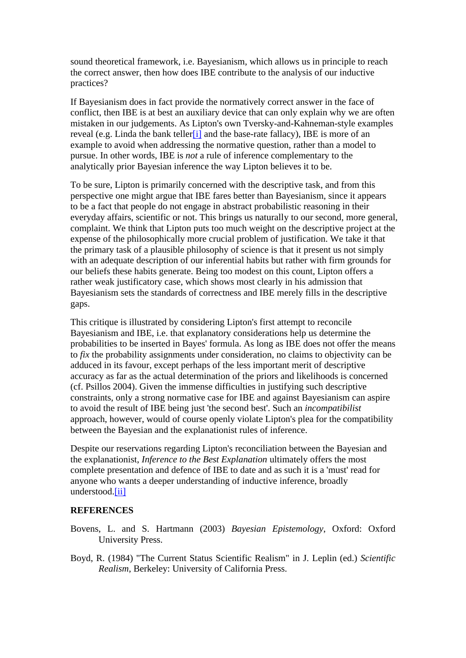sound theoretical framework, i.e. Bayesianism, which allows us in principle to reach the correct answer, then how does IBE contribute to the analysis of our inductive practices?

If Bayesianism does in fact provide the normatively correct answer in the face of conflict, then IBE is at best an auxiliary device that can only explain why we are often mistaken in our judgements. As Lipton's own Tversky-and-Kahneman-style examples reveal (e.g. Linda the bank teller<sup>[1]</sup> and the base-rate fallacy), IBE is more of an example to avoid when addressing the normative question, rather than a model to pursue. In other words, IBE is *not* a rule of inference complementary to the analytically prior Bayesian inference the way Lipton believes it to be.

To be sure, Lipton is primarily concerned with the descriptive task, and from this perspective one might argue that IBE fares better than Bayesianism, since it appears to be a fact that people do not engage in abstract probabilistic reasoning in their everyday affairs, scientific or not. This brings us naturally to our second, more general, complaint. We think that Lipton puts too much weight on the descriptive project at the expense of the philosophically more crucial problem of justification. We take it that the primary task of a plausible philosophy of science is that it present us not simply with an adequate description of our inferential habits but rather with firm grounds for our beliefs these habits generate. Being too modest on this count, Lipton offers a rather weak justificatory case, which shows most clearly in his admission that Bayesianism sets the standards of correctness and IBE merely fills in the descriptive gaps.

This critique is illustrated by considering Lipton's first attempt to reconcile Bayesianism and IBE, i.e. that explanatory considerations help us determine the probabilities to be inserted in Bayes' formula. As long as IBE does not offer the means to *fix* the probability assignments under consideration, no claims to objectivity can be adduced in its favour, except perhaps of the less important merit of descriptive accuracy as far as the actual determination of the priors and likelihoods is concerned (cf. Psillos 2004). Given the immense difficulties in justifying such descriptive constraints, only a strong normative case for IBE and against Bayesianism can aspire to avoid the result of IBE being just 'the second best'. Such an *incompatibilist* approach, however, would of course openly violate Lipton's plea for the compatibility between the Bayesian and the explanationist rules of inference.

Despite our reservations regarding Lipton's reconciliation between the Bayesian and the explanationist, *Inference to the Best Explanation* ultimately offers the most complete presentation and defence of IBE to date and as such it is a 'must' read for anyone who wants a deeper understanding of inductive inference, broadly understood.[ii]

## **REFERENCES**

- Bovens, L. and S. Hartmann (2003) *Bayesian Epistemology*, Oxford: Oxford University Press.
- Boyd, R. (1984) "The Current Status Scientific Realism" in J. Leplin (ed.) *Scientific Realism*, Berkeley: University of California Press.